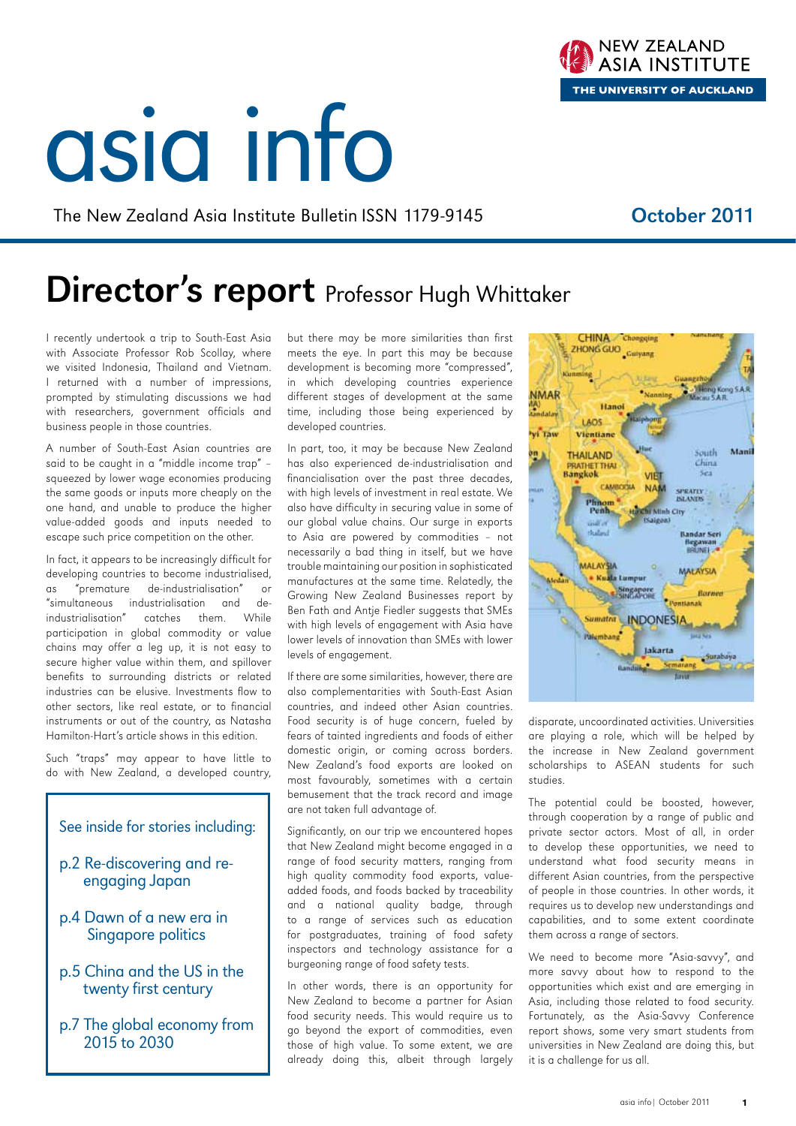# asia info

The New Zealand Asia Institute Bulletin ISSN 1179-9145 **October 2011** 

### Director's report Professor Hugh Whittaker

I recently undertook a trip to South-East Asia with Associate Professor Rob Scollay, where we visited Indonesia, Thailand and Vietnam. I returned with a number of impressions, prompted by stimulating discussions we had with researchers, government officials and business people in those countries.

A number of South-East Asian countries are said to be caught in a "middle income trap" – squeezed by lower wage economies producing the same goods or inputs more cheaply on the one hand, and unable to produce the higher value-added goods and inputs needed to escape such price competition on the other.

In fact, it appears to be increasingly difficult for developing countries to become industrialised, as "premature de-industrialisation" or "simultaneous industrialisation and deindustrialisation" catches them. While participation in global commodity or value chains may offer a leg up, it is not easy to secure higher value within them, and spillover benefits to surrounding districts or related industries can be elusive. Investments flow to other sectors, like real estate, or to financial instruments or out of the country, as Natasha Hamilton-Hart's article shows in this edition.

Such "traps" may appear to have little to do with New Zealand, a developed country,

#### See inside for stories including:

- p.2 Re-discovering and re- engaging Japan
- p.4 Dawn of a new era in Singapore politics
- p.5 China and the US in the twenty first century
- p.7 The global economy from 2015 to 2030

but there may be more similarities than first meets the eye. In part this may be because development is becoming more "compressed", in which developing countries experience different stages of development at the same time, including those being experienced by developed countries.

In part, too, it may be because New Zealand has also experienced de-industrialisation and financialisation over the past three decades, with high levels of investment in real estate. We also have difficulty in securing value in some of our global value chains. Our surge in exports to Asia are powered by commodities – not necessarily a bad thing in itself, but we have trouble maintaining our position in sophisticated manufactures at the same time. Relatedly, the Growing New Zealand Businesses report by Ben Fath and Antje Fiedler suggests that SMEs with high levels of engagement with Asia have lower levels of innovation than SMEs with lower levels of engagement.

If there are some similarities, however, there are also complementarities with South-East Asian countries, and indeed other Asian countries. Food security is of huge concern, fueled by fears of tainted ingredients and foods of either domestic origin, or coming across borders. New Zealand's food exports are looked on most favourably, sometimes with a certain bemusement that the track record and image are not taken full advantage of.

Significantly, on our trip we encountered hopes that New Zealand might become engaged in a range of food security matters, ranging from high quality commodity food exports, valueadded foods, and foods backed by traceability and a national quality badge, through to a range of services such as education for postgraduates, training of food safety inspectors and technology assistance for a burgeoning range of food safety tests.

In other words, there is an opportunity for New Zealand to become a partner for Asian food security needs. This would require us to go beyond the export of commodities, even those of high value. To some extent, we are already doing this, albeit through largely disparate, uncoordinated activities. Universities are playing a role, which will be helped by the increase in New Zealand government scholarships to ASEAN students for such studies.

The potential could be boosted, however, through cooperation by a range of public and private sector actors. Most of all, in order to develop these opportunities, we need to understand what food security means in different Asian countries, from the perspective of people in those countries. In other words, it requires us to develop new understandings and capabilities, and to some extent coordinate them across a range of sectors.

We need to become more "Asia-savvy", and more savvy about how to respond to the opportunities which exist and are emerging in Asia, including those related to food security. Fortunately, as the Asia-Savvy Conference report shows, some very smart students from universities in New Zealand are doing this, but it is a challenge for us all.



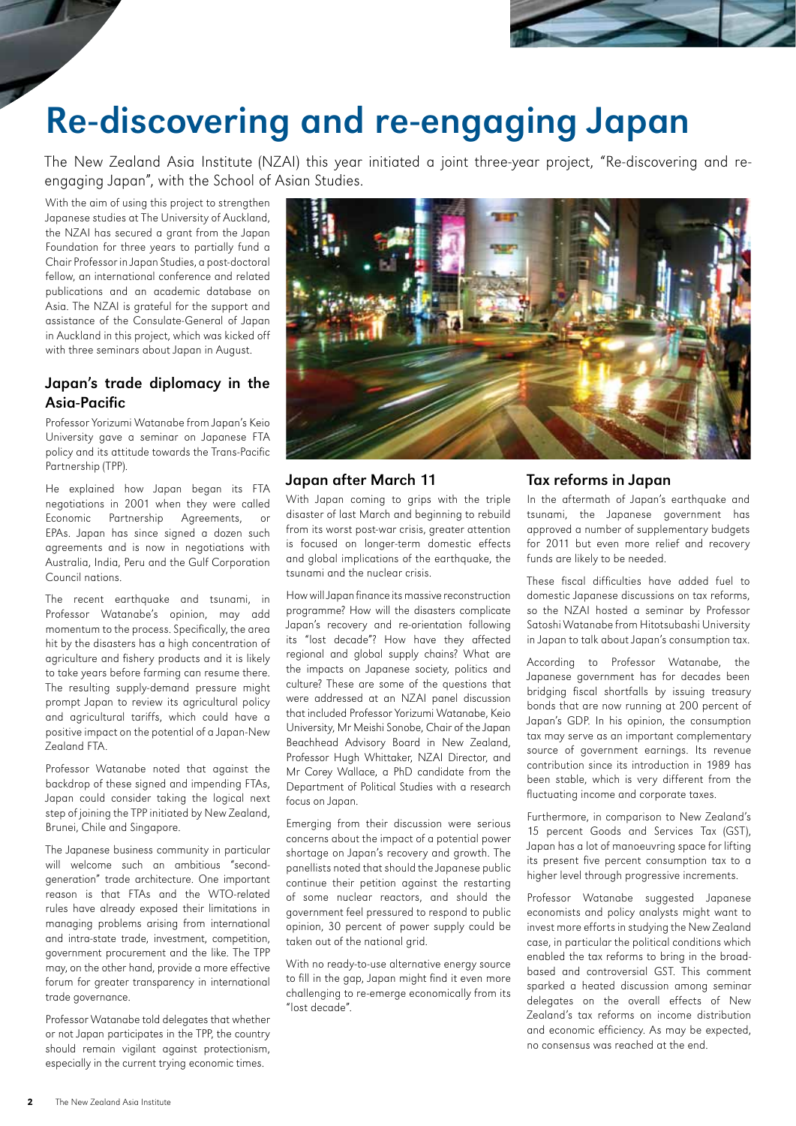

# Re-discovering and re-engaging Japan

The New Zealand Asia Institute (NZAI) this year initiated a joint three-year project, "Re-discovering and reengaging Japan", with the School of Asian Studies.

With the aim of using this project to strengthen Japanese studies at The University of Auckland, the NZAI has secured a grant from the Japan Foundation for three years to partially fund a Chair Professor in Japan Studies, a post-doctoral fellow, an international conference and related publications and an academic database on Asia. The NZAI is grateful for the support and assistance of the Consulate-General of Japan in Auckland in this project, which was kicked off with three seminars about Japan in August.

#### Japan's trade diplomacy in the Asia-Pacific

Professor Yorizumi Watanabe from Japan's Keio University gave a seminar on Japanese FTA policy and its attitude towards the Trans-Pacific Partnership (TPP).

He explained how Japan began its FTA negotiations in 2001 when they were called<br>Economic Partnership Agreements, or Economic Partnership Agreements, or EPAs. Japan has since signed a dozen such agreements and is now in negotiations with Australia, India, Peru and the Gulf Corporation Council nations.

The recent earthquake and tsunami, in Professor Watanabe's opinion, may add momentum to the process. Specifically, the area hit by the disasters has a high concentration of agriculture and fishery products and it is likely to take years before farming can resume there. The resulting supply-demand pressure might prompt Japan to review its agricultural policy and agricultural tariffs, which could have a positive impact on the potential of a Japan-New Zealand FTA.

Professor Watanabe noted that against the backdrop of these signed and impending FTAs, Japan could consider taking the logical next step of joining the TPP initiated by New Zealand, Brunei, Chile and Singapore.

The Japanese business community in particular will welcome such an ambitious "secondgeneration" trade architecture. One important reason is that FTAs and the WTO-related rules have already exposed their limitations in managing problems arising from international and intra-state trade, investment, competition, government procurement and the like. The TPP may, on the other hand, provide a more effective forum for greater transparency in international trade governance.

Professor Watanabe told delegates that whether or not Japan participates in the TPP, the country should remain vigilant against protectionism, especially in the current trying economic times.



#### Japan after March 11

With Japan comina to grips with the triple disaster of last March and beginning to rebuild from its worst post-war crisis, greater attention is focused on longer-term domestic effects and global implications of the earthquake, the tsunami and the nuclear crisis.

How will Japan finance its massive reconstruction programme? How will the disasters complicate Japan's recovery and re-orientation following its "lost decade"? How have they affected regional and global supply chains? What are the impacts on Japanese society, politics and culture? These are some of the questions that were addressed at an NZAI panel discussion that included Professor Yorizumi Watanabe, Keio University, Mr Meishi Sonobe, Chair of the Japan Beachhead Advisory Board in New Zealand, Professor Hugh Whittaker, NZAI Director, and Mr Corey Wallace, a PhD candidate from the Department of Political Studies with a research focus on Japan.

Emerging from their discussion were serious concerns about the impact of a potential power shortage on Japan's recovery and growth. The panellists noted that should the Japanese public continue their petition against the restarting of some nuclear reactors, and should the government feel pressured to respond to public opinion, 30 percent of power supply could be taken out of the national grid.

With no ready-to-use alternative energy source to fill in the gap, Japan might find it even more challenging to re-emerge economically from its "lost decade".

#### Tax reforms in Japan

In the aftermath of Japan's earthquake and tsunami, the Japanese government has approved a number of supplementary budgets for 2011 but even more relief and recovery funds are likely to be needed.

These fiscal difficulties have added fuel to domestic Japanese discussions on tax reforms, so the NZAI hosted a seminar by Professor Satoshi Watanabe from Hitotsubashi University in Japan to talk about Japan's consumption tax.

According to Professor Watanabe, the Japanese government has for decades been bridging fiscal shortfalls by issuing treasury bonds that are now running at 200 percent of Japan's GDP. In his opinion, the consumption tax may serve as an important complementary source of government earnings. Its revenue contribution since its introduction in 1989 has been stable, which is very different from the fluctuating income and corporate taxes.

Furthermore, in comparison to New Zealand's 15 percent Goods and Services Tax (GST), Japan has a lot of manoeuvring space for lifting its present five percent consumption tax to a higher level through progressive increments.

Professor Watanabe suggested Japanese economists and policy analysts might want to invest more efforts in studying the New Zealand case, in particular the political conditions which enabled the tax reforms to bring in the broadbased and controversial GST. This comment sparked a heated discussion among seminar delegates on the overall effects of New Zealand's tax reforms on income distribution and economic efficiency. As may be expected, no consensus was reached at the end.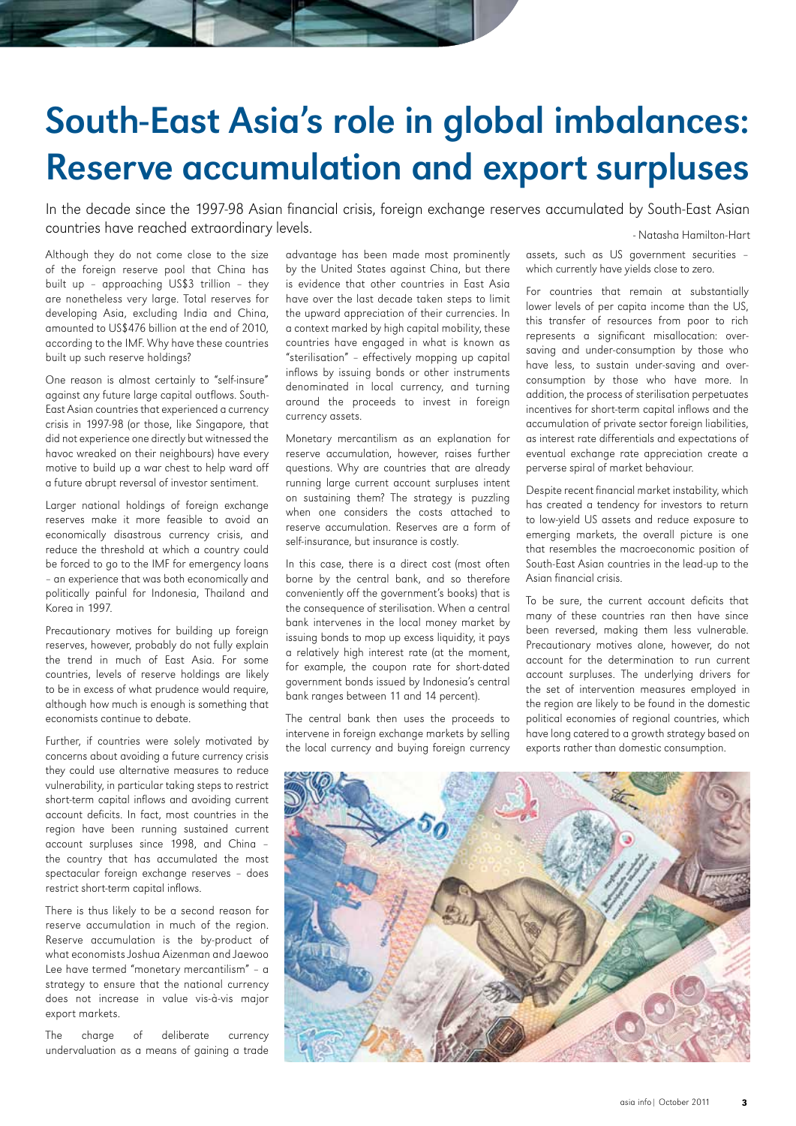## South-East Asia's role in global imbalances: Reserve accumulation and export surpluses

In the decade since the 1997-98 Asian financial crisis, foreign exchange reserves accumulated by South-East Asian countries have reached extraordinary levels. And the state of the state of the state of the Matasha Hamilton-Hart

Although they do not come close to the size of the foreign reserve pool that China has built up – approaching US\$3 trillion – they are nonetheless very large. Total reserves for developing Asia, excluding India and China, amounted to US\$476 billion at the end of 2010, according to the IMF. Why have these countries built up such reserve holdings?

One reason is almost certainly to "self-insure" against any future large capital outflows. South-East Asian countries that experienced a currency crisis in 1997-98 (or those, like Singapore, that did not experience one directly but witnessed the havoc wreaked on their neighbours) have every motive to build up a war chest to help ward off a future abrupt reversal of investor sentiment.

Larger national holdings of foreign exchange reserves make it more feasible to avoid an economically disastrous currency crisis, and reduce the threshold at which a country could be forced to go to the IMF for emergency loans – an experience that was both economically and politically painful for Indonesia, Thailand and Korea in 1997.

Precautionary motives for building up foreign reserves, however, probably do not fully explain the trend in much of East Asia. For some countries, levels of reserve holdings are likely to be in excess of what prudence would require, although how much is enough is something that economists continue to debate.

Further, if countries were solely motivated by concerns about avoiding a future currency crisis they could use alternative measures to reduce vulnerability, in particular taking steps to restrict short-term capital inflows and avoiding current account deficits. In fact, most countries in the region have been running sustained current account surpluses since 1998, and China – the country that has accumulated the most spectacular foreign exchange reserves – does restrict short-term capital inflows.

There is thus likely to be a second reason for reserve accumulation in much of the region. Reserve accumulation is the by-product of what economists Joshua Aizenman and Jaewoo Lee have termed "monetary mercantilism" – a strategy to ensure that the national currency does not increase in value vis-à-vis major export markets.

The charge of deliberate currency undervaluation as a means of gaining a trade

advantage has been made most prominently by the United States against China, but there is evidence that other countries in East Asia have over the last decade taken steps to limit the upward appreciation of their currencies. In a context marked by high capital mobility, these countries have engaged in what is known as "sterilisation" – effectively mopping up capital inflows by issuing bonds or other instruments denominated in local currency, and turning around the proceeds to invest in foreign currency assets.

Monetary mercantilism as an explanation for reserve accumulation, however, raises further questions. Why are countries that are already running large current account surpluses intent on sustaining them? The strategy is puzzling when one considers the costs attached to reserve accumulation. Reserves are a form of self-insurance, but insurance is costly.

In this case, there is a direct cost (most often borne by the central bank, and so therefore conveniently off the government's books) that is the consequence of sterilisation. When a central bank intervenes in the local money market by issuing bonds to mop up excess liquidity, it pays a relatively high interest rate (at the moment, for example, the coupon rate for short-dated government bonds issued by Indonesia's central bank ranges between 11 and 14 percent).

The central bank then uses the proceeds to intervene in foreign exchange markets by selling the local currency and buying foreign currency

assets, such as US government securities – which currently have yields close to zero.

For countries that remain at substantially lower levels of per capita income than the US, this transfer of resources from poor to rich represents a significant misallocation: oversaving and under-consumption by those who have less, to sustain under-saving and overconsumption by those who have more. In addition, the process of sterilisation perpetuates incentives for short-term capital inflows and the accumulation of private sector foreign liabilities, as interest rate differentials and expectations of eventual exchange rate appreciation create a perverse spiral of market behaviour.

Despite recent financial market instability, which has created a tendency for investors to return to low-yield US assets and reduce exposure to emerging markets, the overall picture is one that resembles the macroeconomic position of South-East Asian countries in the lead-up to the Asian financial crisis.

To be sure, the current account deficits that many of these countries ran then have since been reversed, making them less vulnerable. Precautionary motives alone, however, do not account for the determination to run current account surpluses. The underlying drivers for the set of intervention measures employed in the region are likely to be found in the domestic political economies of regional countries, which have long catered to a growth strategy based on exports rather than domestic consumption.

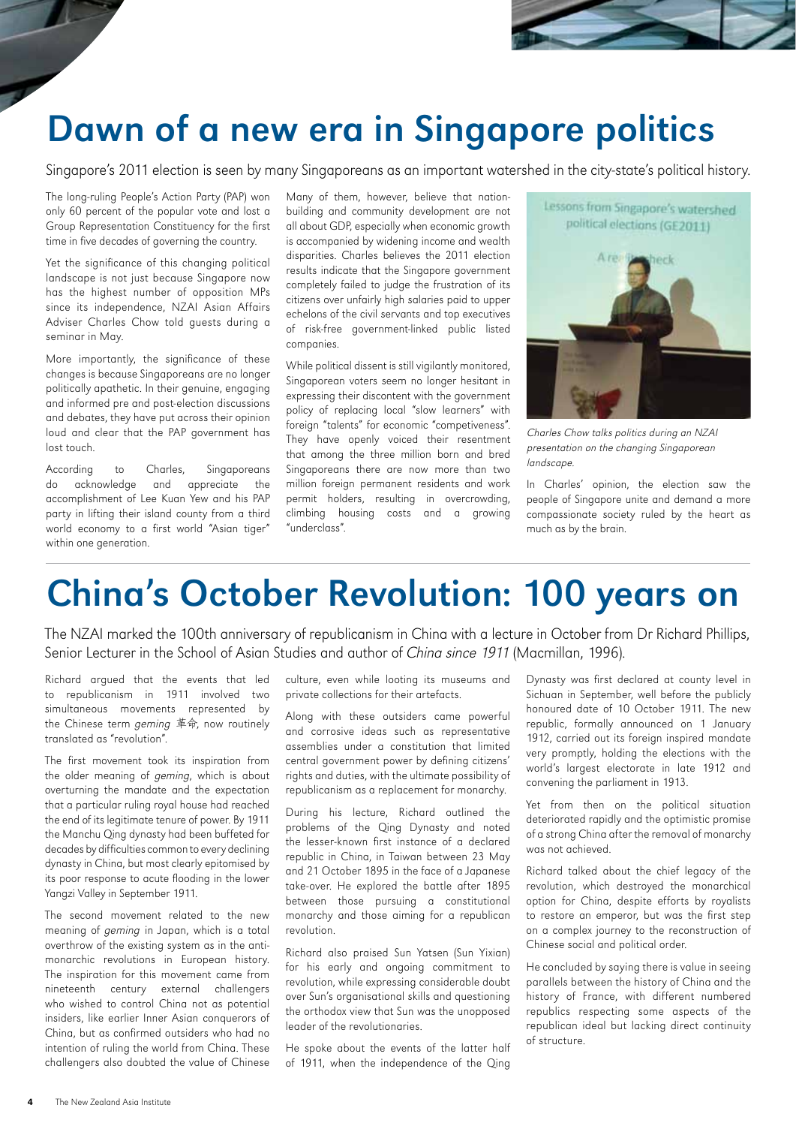

## Dawn of a new era in Singapore politics

Singapore's 2011 election is seen by many Singaporeans as an important watershed in the city-state's political history.

The long-ruling People's Action Party (PAP) won only 60 percent of the popular vote and lost a Group Representation Constituency for the first time in five decades of governing the country.

Yet the significance of this changing political landscape is not just because Singapore now has the highest number of opposition MPs since its independence, NZAI Asian Affairs Adviser Charles Chow told guests during a seminar in May.

More importantly, the significance of these changes is because Singaporeans are no longer politically apathetic. In their genuine, engaging and informed pre and post-election discussions and debates, they have put across their opinion loud and clear that the PAP government has lost touch.

According to Charles, Singaporeans do acknowledge and appreciate the accomplishment of Lee Kuan Yew and his PAP party in lifting their island county from a third world economy to a first world "Asian tiger" within one generation.

Many of them, however, believe that nationbuilding and community development are not all about GDP, especially when economic growth is accompanied by widening income and wealth disparities. Charles believes the 2011 election results indicate that the Singapore government completely failed to judge the frustration of its citizens over unfairly high salaries paid to upper echelons of the civil servants and top executives of risk-free government-linked public listed companies.

While political dissent is still vigilantly monitored, Singaporean voters seem no longer hesitant in expressing their discontent with the government policy of replacing local "slow learners" with foreign "talents" for economic "competiveness". They have openly voiced their resentment that among the three million born and bred Singaporeans there are now more than two million foreign permanent residents and work permit holders, resulting in overcrowding, climbing housing costs and a growing "underclass".



Charles Chow talks politics during an NZAI presentation on the changing Singaporean landscape.

In Charles' opinion, the election saw the people of Singapore unite and demand a more compassionate society ruled by the heart as much as by the brain.

# China's October Revolution: 100 years on

The NZAI marked the 100th anniversary of republicanism in China with a lecture in October from Dr Richard Phillips, Senior Lecturer in the School of Asian Studies and author of *China since 1911* (Macmillan, 1996).

Richard argued that the events that led to republicanism in 1911 involved two simultaneous movements represented by the Chinese term *geming* 革命, now routinely translated as "revolution".

The first movement took its inspiration from the older meaning of geming, which is about overturning the mandate and the expectation that a particular ruling royal house had reached the end of its legitimate tenure of power. By 1911 the Manchu Qing dynasty had been buffeted for decades by difficulties common to every declining dynasty in China, but most clearly epitomised by its poor response to acute flooding in the lower Yangzi Valley in September 1911.

The second movement related to the new meaning of geming in Japan, which is a total overthrow of the existing system as in the antimonarchic revolutions in European history. The inspiration for this movement came from nineteenth century external challengers who wished to control China not as potential insiders, like earlier Inner Asian conquerors of China, but as confirmed outsiders who had no intention of ruling the world from China. These challengers also doubted the value of Chinese culture, even while looting its museums and private collections for their artefacts.

Along with these outsiders came powerful and corrosive ideas such as representative assemblies under a constitution that limited central government power by defining citizens' rights and duties, with the ultimate possibility of republicanism as a replacement for monarchy.

During his lecture, Richard outlined the problems of the Qing Dynasty and noted the lesser-known first instance of a declared republic in China, in Taiwan between 23 May and 21 October 1895 in the face of a Japanese take-over. He explored the battle after 1895 between those pursuing a constitutional monarchy and those aiming for a republican revolution.

Richard also praised Sun Yatsen (Sun Yixian) for his early and ongoing commitment to revolution, while expressing considerable doubt over Sun's organisational skills and questioning the orthodox view that Sun was the unopposed leader of the revolutionaries.

He spoke about the events of the latter half of 1911, when the independence of the Qing

Dynasty was first declared at county level in Sichuan in September, well before the publicly honoured date of 10 October 1911. The new republic, formally announced on 1 January 1912, carried out its foreign inspired mandate very promptly, holding the elections with the world's largest electorate in late 1912 and convening the parliament in 1913.

Yet from then on the political situation deteriorated rapidly and the optimistic promise of a strong China after the removal of monarchy was not achieved.

Richard talked about the chief legacy of the revolution, which destroyed the monarchical option for China, despite efforts by royalists to restore an emperor, but was the first step on a complex journey to the reconstruction of Chinese social and political order.

He concluded by saying there is value in seeing parallels between the history of China and the history of France, with different numbered republics respecting some aspects of the republican ideal but lacking direct continuity of structure.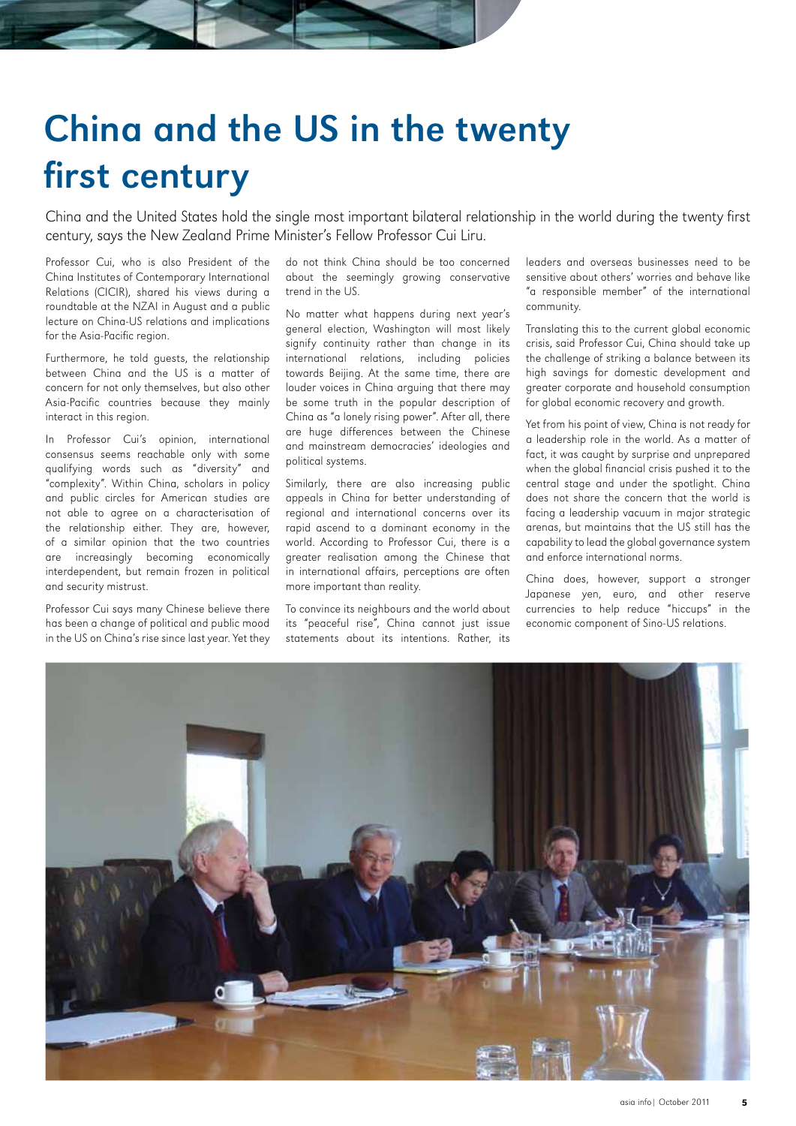

# China and the US in the twenty first century

China and the United States hold the single most important bilateral relationship in the world during the twenty first century, says the New Zealand Prime Minister's Fellow Professor Cui Liru.

Professor Cui, who is also President of the China Institutes of Contemporary International Relations (CICIR), shared his views during a roundtable at the NZAI in August and a public lecture on China-US relations and implications for the Asia-Pacific region.

Furthermore, he told guests, the relationship between China and the US is a matter of concern for not only themselves, but also other Asia-Pacific countries because they mainly interact in this region.

In Professor Cui's opinion, international consensus seems reachable only with some qualifying words such as "diversity" and "complexity". Within China, scholars in policy and public circles for American studies are not able to agree on a characterisation of the relationship either. They are, however, of a similar opinion that the two countries are increasingly becoming economically interdependent, but remain frozen in political and security mistrust.

Professor Cui says many Chinese believe there has been a change of political and public mood in the US on China's rise since last year. Yet they

do not think China should be too concerned about the seemingly growing conservative trend in the US.

No matter what happens during next year's general election, Washington will most likely signify continuity rather than change in its international relations, including policies towards Beijing. At the same time, there are louder voices in China arguing that there may be some truth in the popular description of China as "a lonely rising power". After all, there are huge differences between the Chinese and mainstream democracies' ideologies and political systems.

Similarly, there are also increasing public appeals in China for better understanding of regional and international concerns over its rapid ascend to a dominant economy in the world. According to Professor Cui, there is a greater realisation among the Chinese that in international affairs, perceptions are often more important than reality.

To convince its neighbours and the world about its "peaceful rise", China cannot just issue statements about its intentions. Rather, its

leaders and overseas businesses need to be sensitive about others' worries and behave like "a responsible member" of the international community.

Translating this to the current global economic crisis, said Professor Cui, China should take up the challenge of striking a balance between its high savings for domestic development and greater corporate and household consumption for global economic recovery and growth.

Yet from his point of view, China is not ready for a leadership role in the world. As a matter of fact, it was caught by surprise and unprepared when the global financial crisis pushed it to the central stage and under the spotlight. China does not share the concern that the world is facing a leadership vacuum in major strategic arenas, but maintains that the US still has the capability to lead the global governance system and enforce international norms.

China does, however, support a stronger Japanese yen, euro, and other reserve currencies to help reduce "hiccups" in the economic component of Sino-US relations.

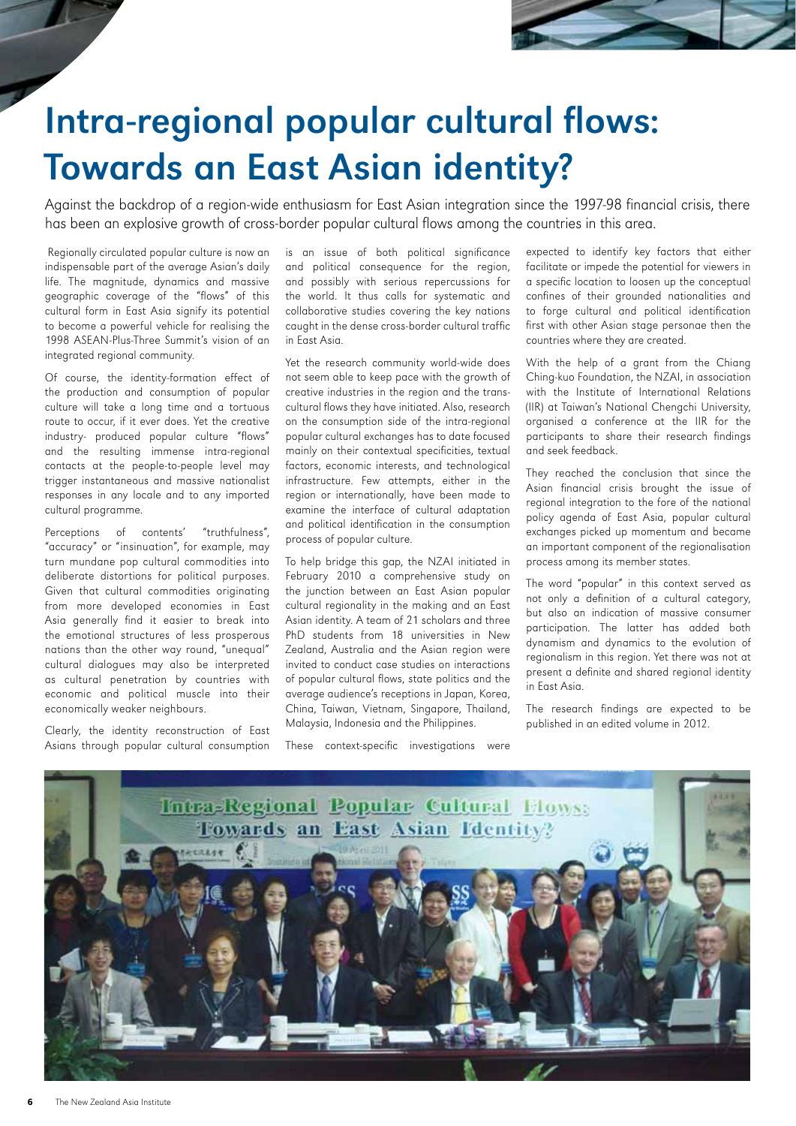

# Intra-regional popular cultural flows: Towards an East Asian identity?

Against the backdrop of a region-wide enthusiasm for East Asian integration since the 1997-98 financial crisis, there has been an explosive growth of cross-border popular cultural flows among the countries in this area.

 Regionally circulated popular culture is now an indispensable part of the average Asian's daily life. The magnitude, dynamics and massive geographic coverage of the "flows" of this cultural form in East Asia signify its potential to become a powerful vehicle for realising the 1998 ASEAN-Plus-Three Summit's vision of an integrated regional community.

Of course, the identity-formation effect of the production and consumption of popular culture will take a long time and a tortuous route to occur, if it ever does. Yet the creative industry- produced popular culture "flows" and the resulting immense intra-regional contacts at the people-to-people level may trigger instantaneous and massive nationalist responses in any locale and to any imported cultural programme.

Perceptions of contents' "truthfulness", "accuracy" or "insinuation", for example, may turn mundane pop cultural commodities into deliberate distortions for political purposes. Given that cultural commodities originating from more developed economies in East Asia generally find it easier to break into the emotional structures of less prosperous nations than the other way round, "unequal" cultural dialogues may also be interpreted as cultural penetration by countries with economic and political muscle into their economically weaker neighbours.

Clearly, the identity reconstruction of East Asians through popular cultural consumption

is an issue of both political significance and political consequence for the region, and possibly with serious repercussions for the world. It thus calls for systematic and collaborative studies covering the key nations caught in the dense cross-border cultural traffic in East Asia.

Yet the research community world-wide does not seem able to keep pace with the growth of creative industries in the region and the transcultural flows they have initiated. Also, research on the consumption side of the intra-regional popular cultural exchanges has to date focused mainly on their contextual specificities, textual factors, economic interests, and technological infrastructure. Few attempts, either in the region or internationally, have been made to examine the interface of cultural adaptation and political identification in the consumption process of popular culture.

To help bridge this gap, the NZAI initiated in February 2010 a comprehensive study on the junction between an East Asian popular cultural regionality in the making and an East Asian identity. A team of 21 scholars and three PhD students from 18 universities in New Zealand, Australia and the Asian region were invited to conduct case studies on interactions of popular cultural flows, state politics and the average audience's receptions in Japan, Korea, China, Taiwan, Vietnam, Singapore, Thailand, Malaysia, Indonesia and the Philippines.

These context-specific investigations were

expected to identify key factors that either facilitate or impede the potential for viewers in a specific location to loosen up the conceptual confines of their grounded nationalities and to forge cultural and political identification first with other Asian stage personae then the countries where they are created.

With the help of a grant from the Chiang Ching-kuo Foundation, the NZAI, in association with the Institute of International Relations (IIR) at Taiwan's National Chengchi University, organised a conference at the IIR for the participants to share their research findings and seek feedback.

They reached the conclusion that since the Asian financial crisis brought the issue of regional integration to the fore of the national policy agenda of East Asia, popular cultural exchanges picked up momentum and became an important component of the regionalisation process among its member states.

The word "popular" in this context served as not only a definition of a cultural category, but also an indication of massive consumer participation. The latter has added both dynamism and dynamics to the evolution of regionalism in this region. Yet there was not at present a definite and shared regional identity in East Asia.

The research findings are expected to be published in an edited volume in 2012.

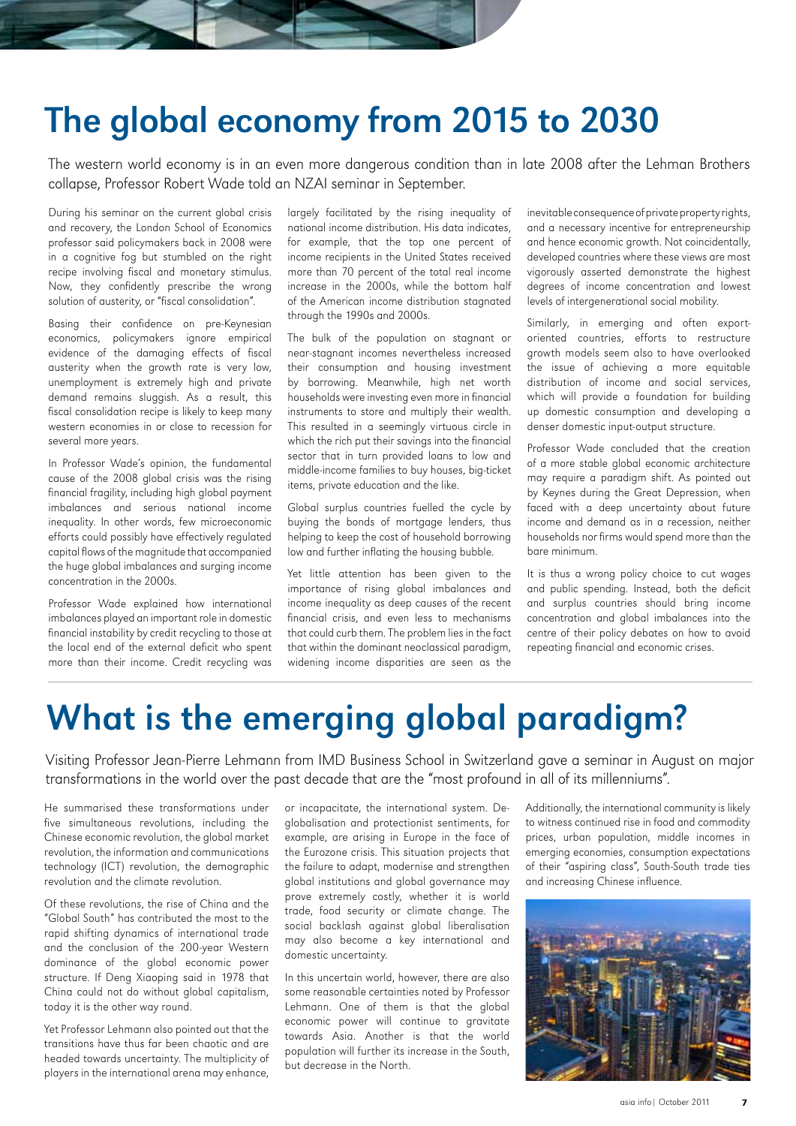## The global economy from 2015 to 2030

The western world economy is in an even more dangerous condition than in late 2008 after the Lehman Brothers collapse, Professor Robert Wade told an NZAI seminar in September.

During his seminar on the current global crisis and recovery, the London School of Economics professor said policymakers back in 2008 were in a cognitive fog but stumbled on the right recipe involving fiscal and monetary stimulus. Now, they confidently prescribe the wrong solution of austerity, or "fiscal consolidation".

Basing their confidence on pre-Keynesian economics, policymakers ignore empirical evidence of the damaging effects of fiscal austerity when the growth rate is very low, unemployment is extremely high and private demand remains sluggish. As a result, this fiscal consolidation recipe is likely to keep many western economies in or close to recession for several more years.

In Professor Wade's opinion, the fundamental cause of the 2008 global crisis was the rising financial fragility, including high global payment imbalances and serious national income inequality. In other words, few microeconomic efforts could possibly have effectively regulated capital flows of the magnitude that accompanied the huge global imbalances and surging income concentration in the 2000s.

Professor Wade explained how international imbalances played an important role in domestic financial instability by credit recycling to those at the local end of the external deficit who spent more than their income. Credit recycling was largely facilitated by the rising inequality of national income distribution. His data indicates, for example, that the top one percent of income recipients in the United States received more than 70 percent of the total real income increase in the 2000s, while the bottom half of the American income distribution stagnated through the 1990s and 2000s.

The bulk of the population on stagnant or near-stagnant incomes nevertheless increased their consumption and housing investment by borrowing. Meanwhile, high net worth households were investing even more in financial instruments to store and multiply their wealth. This resulted in a seemingly virtuous circle in which the rich put their savings into the financial sector that in turn provided loans to low and middle-income families to buy houses, big-ticket items, private education and the like.

Global surplus countries fuelled the cycle by buying the bonds of mortgage lenders, thus helping to keep the cost of household borrowing low and further inflating the housing bubble.

Yet little attention has been given to the importance of rising global imbalances and income inequality as deep causes of the recent financial crisis, and even less to mechanisms that could curb them. The problem lies in the fact that within the dominant neoclassical paradigm, widening income disparities are seen as the

inevitable consequence of private property rights, and a necessary incentive for entrepreneurship and hence economic growth. Not coincidentally, developed countries where these views are most vigorously asserted demonstrate the highest degrees of income concentration and lowest levels of intergenerational social mobility.

Similarly, in emerging and often exportoriented countries, efforts to restructure growth models seem also to have overlooked the issue of achieving a more equitable distribution of income and social services, which will provide a foundation for building up domestic consumption and developing a denser domestic input-output structure.

Professor Wade concluded that the creation of a more stable global economic architecture may require a paradigm shift. As pointed out by Keynes during the Great Depression, when faced with a deep uncertainty about future income and demand as in a recession, neither households nor firms would spend more than the bare minimum.

It is thus a wrong policy choice to cut wages and public spending. Instead, both the deficit and surplus countries should bring income concentration and global imbalances into the centre of their policy debates on how to avoid repeating financial and economic crises.

## What is the emerging global paradigm?

Visiting Professor Jean-Pierre Lehmann from IMD Business School in Switzerland gave a seminar in August on major transformations in the world over the past decade that are the "most profound in all of its millenniums".

He summarised these transformations under five simultaneous revolutions, including the Chinese economic revolution, the global market revolution, the information and communications technology (ICT) revolution, the demographic revolution and the climate revolution.

Of these revolutions, the rise of China and the "Global South" has contributed the most to the rapid shifting dynamics of international trade and the conclusion of the 200-year Western dominance of the global economic power structure. If Deng Xiaoping said in 1978 that China could not do without global capitalism, today it is the other way round.

Yet Professor Lehmann also pointed out that the transitions have thus far been chaotic and are headed towards uncertainty. The multiplicity of players in the international arena may enhance,

or incapacitate, the international system. Deglobalisation and protectionist sentiments, for example, are arising in Europe in the face of the Eurozone crisis. This situation projects that the failure to adapt, modernise and strengthen global institutions and global governance may prove extremely costly, whether it is world trade, food security or climate change. The social backlash against global liberalisation may also become a key international and domestic uncertainty.

In this uncertain world, however, there are also some reasonable certainties noted by Professor Lehmann. One of them is that the global economic power will continue to gravitate towards Asia. Another is that the world population will further its increase in the South, but decrease in the North.

Additionally, the international community is likely to witness continued rise in food and commodity prices, urban population, middle incomes in emerging economies, consumption expectations of their "aspiring class", South-South trade ties and increasing Chinese influence.